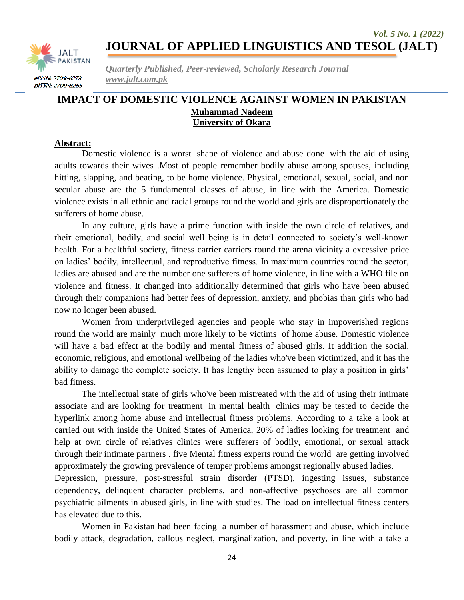

*Quarterly Published, Peer-reviewed, Scholarly Research Journal www.jalt.com.pk*

### **IMPACT OF DOMESTIC VIOLENCE AGAINST WOMEN IN PAKISTAN Muhammad Nadeem University of Okara**

#### **Abstract:**

Domestic violence is a worst shape of violence and abuse done with the aid of using adults towards their wives .Most of people remember bodily abuse among spouses, including hitting, slapping, and beating, to be home violence. Physical, emotional, sexual, social, and non secular abuse are the 5 fundamental classes of abuse, in line with the America. Domestic violence exists in all ethnic and racial groups round the world and girls are disproportionately the sufferers of home abuse.

In any culture, girls have a prime function with inside the own circle of relatives, and their emotional, bodily, and social well being is in detail connected to society's well-known health. For a healthful society, fitness carrier carriers round the arena vicinity a excessive price on ladies' bodily, intellectual, and reproductive fitness. In maximum countries round the sector, ladies are abused and are the number one sufferers of home violence, in line with a WHO file on violence and fitness. It changed into additionally determined that girls who have been abused through their companions had better fees of depression, anxiety, and phobias than girls who had now no longer been abused.

Women from underprivileged agencies and people who stay in impoverished regions round the world are mainly much more likely to be victims of home abuse. Domestic violence will have a bad effect at the bodily and mental fitness of abused girls. It addition the social, economic, religious, and emotional wellbeing of the ladies who've been victimized, and it has the ability to damage the complete society. It has lengthy been assumed to play a position in girls' bad fitness.

The intellectual state of girls who've been mistreated with the aid of using their intimate associate and are looking for treatment in mental health clinics may be tested to decide the hyperlink among home abuse and intellectual fitness problems. According to a take a look at carried out with inside the United States of America, 20% of ladies looking for treatment and help at own circle of relatives clinics were sufferers of bodily, emotional, or sexual attack through their intimate partners . five Mental fitness experts round the world are getting involved approximately the growing prevalence of temper problems amongst regionally abused ladies.

Depression, pressure, post-stressful strain disorder (PTSD), ingesting issues, substance dependency, delinquent character problems, and non-affective psychoses are all common psychiatric ailments in abused girls, in line with studies. The load on intellectual fitness centers has elevated due to this.

Women in Pakistan had been facing a number of harassment and abuse, which include bodily attack, degradation, callous neglect, marginalization, and poverty, in line with a take a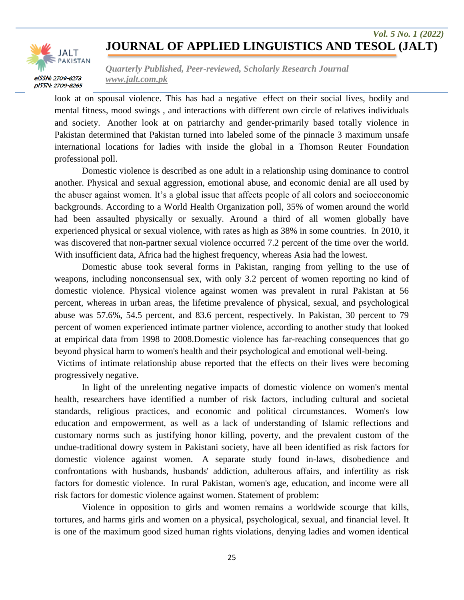## **JOURNAL OF APPLIED LINGUISTICS AND TESOL (JALT)**

*Vol. 5 No. 1 (2022)*



*Quarterly Published, Peer-reviewed, Scholarly Research Journal www.jalt.com.pk*

look at on spousal violence. This has had a negative effect on their social lives, bodily and mental fitness, mood swings , and interactions with different own circle of relatives individuals and society. Another look at on patriarchy and gender-primarily based totally violence in Pakistan determined that Pakistan turned into labeled some of the pinnacle 3 maximum unsafe international locations for ladies with inside the global in a Thomson Reuter Foundation professional poll.

Domestic violence is described as one adult in a relationship using dominance to control another. Physical and sexual aggression, emotional abuse, and economic denial are all used by the abuser against women. It's a global issue that affects people of all colors and socioeconomic backgrounds. According to a World Health Organization poll, 35% of women around the world had been assaulted physically or sexually. Around a third of all women globally have experienced physical or sexual violence, with rates as high as 38% in some countries. In 2010, it was discovered that non-partner sexual violence occurred 7.2 percent of the time over the world. With insufficient data, Africa had the highest frequency, whereas Asia had the lowest.

Domestic abuse took several forms in Pakistan, ranging from yelling to the use of weapons, including nonconsensual sex, with only 3.2 percent of women reporting no kind of domestic violence. Physical violence against women was prevalent in rural Pakistan at 56 percent, whereas in urban areas, the lifetime prevalence of physical, sexual, and psychological abuse was 57.6%, 54.5 percent, and 83.6 percent, respectively. In Pakistan, 30 percent to 79 percent of women experienced intimate partner violence, according to another study that looked at empirical data from 1998 to 2008.Domestic violence has far-reaching consequences that go beyond physical harm to women's health and their psychological and emotional well-being.

Victims of intimate relationship abuse reported that the effects on their lives were becoming progressively negative.

In light of the unrelenting negative impacts of domestic violence on women's mental health, researchers have identified a number of risk factors, including cultural and societal standards, religious practices, and economic and political circumstances. Women's low education and empowerment, as well as a lack of understanding of Islamic reflections and customary norms such as justifying honor killing, poverty, and the prevalent custom of the undue-traditional dowry system in Pakistani society, have all been identified as risk factors for domestic violence against women. A separate study found in-laws, disobedience and confrontations with husbands, husbands' addiction, adulterous affairs, and infertility as risk factors for domestic violence. In rural Pakistan, women's age, education, and income were all risk factors for domestic violence against women. Statement of problem:

Violence in opposition to girls and women remains a worldwide scourge that kills, tortures, and harms girls and women on a physical, psychological, sexual, and financial level. It is one of the maximum good sized human rights violations, denying ladies and women identical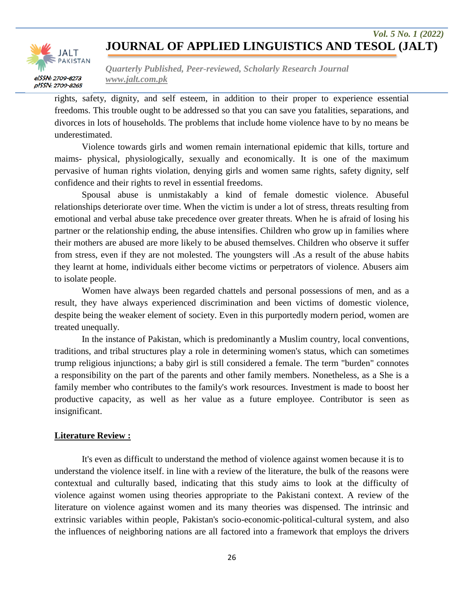# **JOURNAL OF APPLIED LINGUISTICS AND TESOL (JALT)**

*Vol. 5 No. 1 (2022)*



*Quarterly Published, Peer-reviewed, Scholarly Research Journal www.jalt.com.pk*

rights, safety, dignity, and self esteem, in addition to their proper to experience essential freedoms. This trouble ought to be addressed so that you can save you fatalities, separations, and divorces in lots of households. The problems that include home violence have to by no means be underestimated.

Violence towards girls and women remain international epidemic that kills, torture and maims- physical, physiologically, sexually and economically. It is one of the maximum pervasive of human rights violation, denying girls and women same rights, safety dignity, self confidence and their rights to revel in essential freedoms.

Spousal abuse is unmistakably a kind of female domestic violence. Abuseful relationships deteriorate over time. When the victim is under a lot of stress, threats resulting from emotional and verbal abuse take precedence over greater threats. When he is afraid of losing his partner or the relationship ending, the abuse intensifies. Children who grow up in families where their mothers are abused are more likely to be abused themselves. Children who observe it suffer from stress, even if they are not molested. The youngsters will .As a result of the abuse habits they learnt at home, individuals either become victims or perpetrators of violence. Abusers aim to isolate people.

Women have always been regarded chattels and personal possessions of men, and as a result, they have always experienced discrimination and been victims of domestic violence, despite being the weaker element of society. Even in this purportedly modern period, women are treated unequally.

In the instance of Pakistan, which is predominantly a Muslim country, local conventions, traditions, and tribal structures play a role in determining women's status, which can sometimes trump religious injunctions; a baby girl is still considered a female. The term "burden" connotes a responsibility on the part of the parents and other family members. Nonetheless, as a She is a family member who contributes to the family's work resources. Investment is made to boost her productive capacity, as well as her value as a future employee. Contributor is seen as insignificant.

#### **Literature Review :**

It's even as difficult to understand the method of violence against women because it is to understand the violence itself. in line with a review of the literature, the bulk of the reasons were contextual and culturally based, indicating that this study aims to look at the difficulty of violence against women using theories appropriate to the Pakistani context. A review of the literature on violence against women and its many theories was dispensed. The intrinsic and extrinsic variables within people, Pakistan's socio-economic-political-cultural system, and also the influences of neighboring nations are all factored into a framework that employs the drivers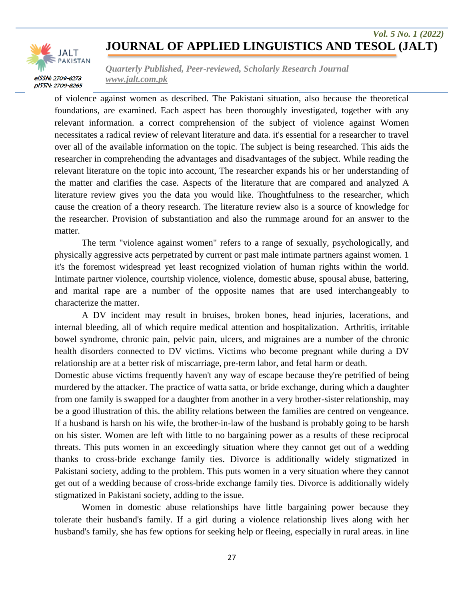# **JOURNAL OF APPLIED LINGUISTICS AND TESOL (JALT)**

*Vol. 5 No. 1 (2022)*



*Quarterly Published, Peer-reviewed, Scholarly Research Journal www.jalt.com.pk*

of violence against women as described. The Pakistani situation, also because the theoretical foundations, are examined. Each aspect has been thoroughly investigated, together with any relevant information. a correct comprehension of the subject of violence against Women necessitates a radical review of relevant literature and data. it's essential for a researcher to travel over all of the available information on the topic. The subject is being researched. This aids the researcher in comprehending the advantages and disadvantages of the subject. While reading the relevant literature on the topic into account, The researcher expands his or her understanding of the matter and clarifies the case. Aspects of the literature that are compared and analyzed A literature review gives you the data you would like. Thoughtfulness to the researcher, which cause the creation of a theory research. The literature review also is a source of knowledge for the researcher. Provision of substantiation and also the rummage around for an answer to the matter.

The term "violence against women" refers to a range of sexually, psychologically, and physically aggressive acts perpetrated by current or past male intimate partners against women. 1 it's the foremost widespread yet least recognized violation of human rights within the world. Intimate partner violence, courtship violence, violence, domestic abuse, spousal abuse, battering, and marital rape are a number of the opposite names that are used interchangeably to characterize the matter.

A DV incident may result in bruises, broken bones, head injuries, lacerations, and internal bleeding, all of which require medical attention and hospitalization. Arthritis, irritable bowel syndrome, chronic pain, pelvic pain, ulcers, and migraines are a number of the chronic health disorders connected to DV victims. Victims who become pregnant while during a DV relationship are at a better risk of miscarriage, pre-term labor, and fetal harm or death.

Domestic abuse victims frequently haven't any way of escape because they're petrified of being murdered by the attacker. The practice of watta satta, or bride exchange, during which a daughter from one family is swapped for a daughter from another in a very brother-sister relationship, may be a good illustration of this. the ability relations between the families are centred on vengeance. If a husband is harsh on his wife, the brother-in-law of the husband is probably going to be harsh on his sister. Women are left with little to no bargaining power as a results of these reciprocal threats. This puts women in an exceedingly situation where they cannot get out of a wedding thanks to cross-bride exchange family ties. Divorce is additionally widely stigmatized in Pakistani society, adding to the problem. This puts women in a very situation where they cannot get out of a wedding because of cross-bride exchange family ties. Divorce is additionally widely stigmatized in Pakistani society, adding to the issue.

Women in domestic abuse relationships have little bargaining power because they tolerate their husband's family. If a girl during a violence relationship lives along with her husband's family, she has few options for seeking help or fleeing, especially in rural areas. in line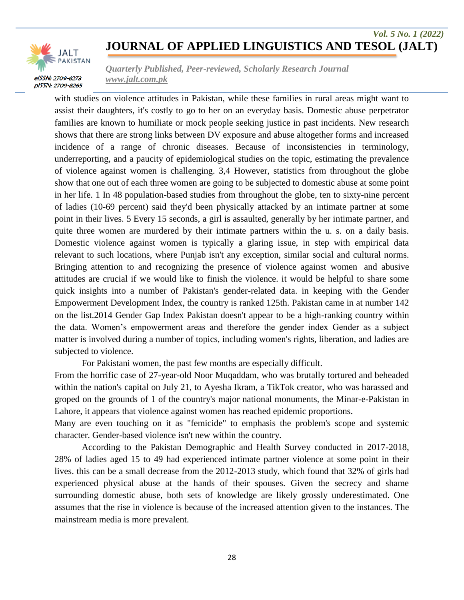

*Quarterly Published, Peer-reviewed, Scholarly Research Journal www.jalt.com.pk*

with studies on violence attitudes in Pakistan, while these families in rural areas might want to assist their daughters, it's costly to go to her on an everyday basis. Domestic abuse perpetrator families are known to humiliate or mock people seeking justice in past incidents. New research shows that there are strong links between DV exposure and abuse altogether forms and increased incidence of a range of chronic diseases. Because of inconsistencies in terminology, underreporting, and a paucity of epidemiological studies on the topic, estimating the prevalence of violence against women is challenging. 3,4 However, statistics from throughout the globe show that one out of each three women are going to be subjected to domestic abuse at some point in her life. 1 In 48 population-based studies from throughout the globe, ten to sixty-nine percent of ladies (10-69 percent) said they'd been physically attacked by an intimate partner at some point in their lives. 5 Every 15 seconds, a girl is assaulted, generally by her intimate partner, and quite three women are murdered by their intimate partners within the u. s. on a daily basis. Domestic violence against women is typically a glaring issue, in step with empirical data relevant to such locations, where Punjab isn't any exception, similar social and cultural norms. Bringing attention to and recognizing the presence of violence against women and abusive attitudes are crucial if we would like to finish the violence. it would be helpful to share some quick insights into a number of Pakistan's gender-related data. in keeping with the Gender Empowerment Development Index, the country is ranked 125th. Pakistan came in at number 142 on the list.2014 Gender Gap Index Pakistan doesn't appear to be a high-ranking country within the data. Women's empowerment areas and therefore the gender index Gender as a subject matter is involved during a number of topics, including women's rights, liberation, and ladies are subjected to violence.

For Pakistani women, the past few months are especially difficult.

From the horrific case of 27-year-old Noor Muqaddam, who was brutally tortured and beheaded within the nation's capital on July 21, to Ayesha Ikram, a TikTok creator, who was harassed and groped on the grounds of 1 of the country's major national monuments, the Minar-e-Pakistan in Lahore, it appears that violence against women has reached epidemic proportions.

Many are even touching on it as "femicide" to emphasis the problem's scope and systemic character. Gender-based violence isn't new within the country.

According to the Pakistan Demographic and Health Survey conducted in 2017-2018, 28% of ladies aged 15 to 49 had experienced intimate partner violence at some point in their lives. this can be a small decrease from the 2012-2013 study, which found that 32% of girls had experienced physical abuse at the hands of their spouses. Given the secrecy and shame surrounding domestic abuse, both sets of knowledge are likely grossly underestimated. One assumes that the rise in violence is because of the increased attention given to the instances. The mainstream media is more prevalent.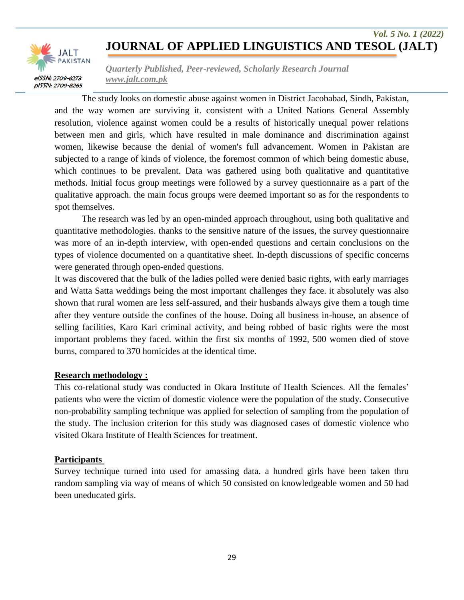

*Quarterly Published, Peer-reviewed, Scholarly Research Journal www.jalt.com.pk*

The study looks on domestic abuse against women in District Jacobabad, Sindh, Pakistan, and the way women are surviving it. consistent with a United Nations General Assembly resolution, violence against women could be a results of historically unequal power relations between men and girls, which have resulted in male dominance and discrimination against women, likewise because the denial of women's full advancement. Women in Pakistan are subjected to a range of kinds of violence, the foremost common of which being domestic abuse, which continues to be prevalent. Data was gathered using both qualitative and quantitative methods. Initial focus group meetings were followed by a survey questionnaire as a part of the qualitative approach. the main focus groups were deemed important so as for the respondents to spot themselves.

The research was led by an open-minded approach throughout, using both qualitative and quantitative methodologies. thanks to the sensitive nature of the issues, the survey questionnaire was more of an in-depth interview, with open-ended questions and certain conclusions on the types of violence documented on a quantitative sheet. In-depth discussions of specific concerns were generated through open-ended questions.

It was discovered that the bulk of the ladies polled were denied basic rights, with early marriages and Watta Satta weddings being the most important challenges they face. it absolutely was also shown that rural women are less self-assured, and their husbands always give them a tough time after they venture outside the confines of the house. Doing all business in-house, an absence of selling facilities, Karo Kari criminal activity, and being robbed of basic rights were the most important problems they faced. within the first six months of 1992, 500 women died of stove burns, compared to 370 homicides at the identical time.

#### **Research methodology :**

This co-relational study was conducted in Okara Institute of Health Sciences. All the females' patients who were the victim of domestic violence were the population of the study. Consecutive non-probability sampling technique was applied for selection of sampling from the population of the study. The inclusion criterion for this study was diagnosed cases of domestic violence who visited Okara Institute of Health Sciences for treatment.

#### **Participants**

Survey technique turned into used for amassing data. a hundred girls have been taken thru random sampling via way of means of which 50 consisted on knowledgeable women and 50 had been uneducated girls.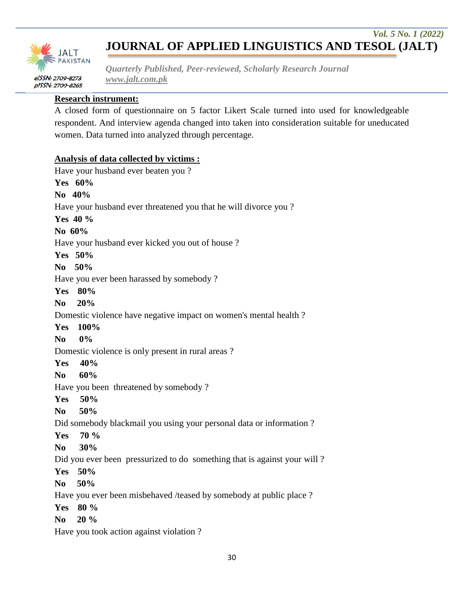

*Quarterly Published, Peer-reviewed, Scholarly Research Journal www.jalt.com.pk*

#### **Research instrument:**

A closed form of questionnaire on 5 factor Likert Scale turned into used for knowledgeable respondent. And interview agenda changed into taken into consideration suitable for uneducated women. Data turned into analyzed through percentage.

#### **Analysis of data collected by victims :**

Have your husband ever beaten you ? **Yes 60% No 40%** Have your husband ever threatened you that he will divorce you ? **Yes 40 % No 60%** Have your husband ever kicked you out of house ? **Yes 50% No 50%** Have you ever been harassed by somebody ? **Yes 80% No 20%** Domestic violence have negative impact on women's mental health ? **Yes 100% No 0%** Domestic violence is only present in rural areas ? **Yes 40% No 60%** Have you been threatened by somebody ? **Yes 50% No 50%** Did somebody blackmail you using your personal data or information ? **Yes 70 % No 30%** Did you ever been pressurized to do something that is against your will? **Yes 50% No 50%** Have you ever been misbehaved /teased by somebody at public place ? **Yes 80 % No 20 %**

Have you took action against violation ?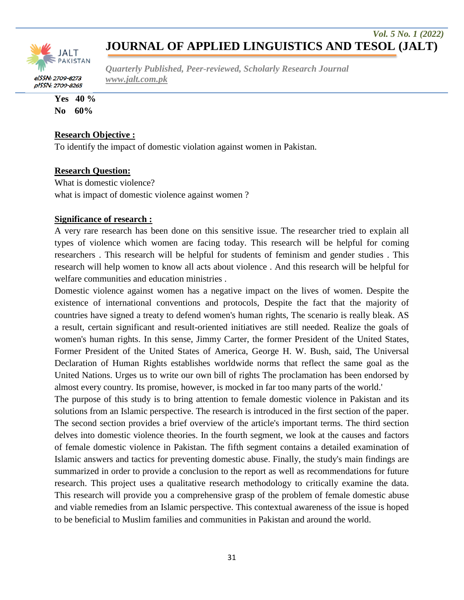

*Quarterly Published, Peer-reviewed, Scholarly Research Journal www.jalt.com.pk*

**Yes 40 % No 60%**

#### **Research Objective :**

To identify the impact of domestic violation against women in Pakistan.

#### **Research Question:**

What is domestic violence? what is impact of domestic violence against women?

#### **Significance of research :**

A very rare research has been done on this sensitive issue. The researcher tried to explain all types of violence which women are facing today. This research will be helpful for coming researchers . This research will be helpful for students of feminism and gender studies . This research will help women to know all acts about violence . And this research will be helpful for welfare communities and education ministries .

Domestic violence against women has a negative impact on the lives of women. Despite the existence of international conventions and protocols, Despite the fact that the majority of countries have signed a treaty to defend women's human rights, The scenario is really bleak. AS a result, certain significant and result-oriented initiatives are still needed. Realize the goals of women's human rights. In this sense, Jimmy Carter, the former President of the United States, Former President of the United States of America, George H. W. Bush, said, The Universal Declaration of Human Rights establishes worldwide norms that reflect the same goal as the United Nations. Urges us to write our own bill of rights The proclamation has been endorsed by almost every country. Its promise, however, is mocked in far too many parts of the world.'

The purpose of this study is to bring attention to female domestic violence in Pakistan and its solutions from an Islamic perspective. The research is introduced in the first section of the paper. The second section provides a brief overview of the article's important terms. The third section delves into domestic violence theories. In the fourth segment, we look at the causes and factors of female domestic violence in Pakistan. The fifth segment contains a detailed examination of Islamic answers and tactics for preventing domestic abuse. Finally, the study's main findings are summarized in order to provide a conclusion to the report as well as recommendations for future research. This project uses a qualitative research methodology to critically examine the data. This research will provide you a comprehensive grasp of the problem of female domestic abuse and viable remedies from an Islamic perspective. This contextual awareness of the issue is hoped to be beneficial to Muslim families and communities in Pakistan and around the world.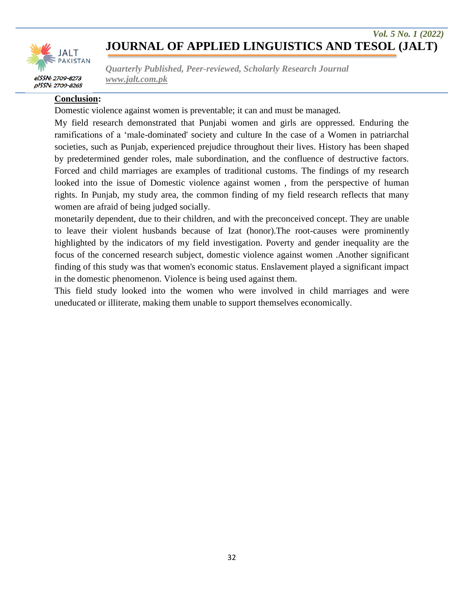

*Quarterly Published, Peer-reviewed, Scholarly Research Journal www.jalt.com.pk*

#### **Conclusion:**

Domestic violence against women is preventable; it can and must be managed.

My field research demonstrated that Punjabi women and girls are oppressed. Enduring the ramifications of a 'male-dominated' society and culture In the case of a Women in patriarchal societies, such as Punjab, experienced prejudice throughout their lives. History has been shaped by predetermined gender roles, male subordination, and the confluence of destructive factors. Forced and child marriages are examples of traditional customs. The findings of my research looked into the issue of Domestic violence against women , from the perspective of human rights. In Punjab, my study area, the common finding of my field research reflects that many women are afraid of being judged socially.

monetarily dependent, due to their children, and with the preconceived concept. They are unable to leave their violent husbands because of Izat (honor).The root-causes were prominently highlighted by the indicators of my field investigation. Poverty and gender inequality are the focus of the concerned research subject, domestic violence against women .Another significant finding of this study was that women's economic status. Enslavement played a significant impact in the domestic phenomenon. Violence is being used against them.

This field study looked into the women who were involved in child marriages and were uneducated or illiterate, making them unable to support themselves economically.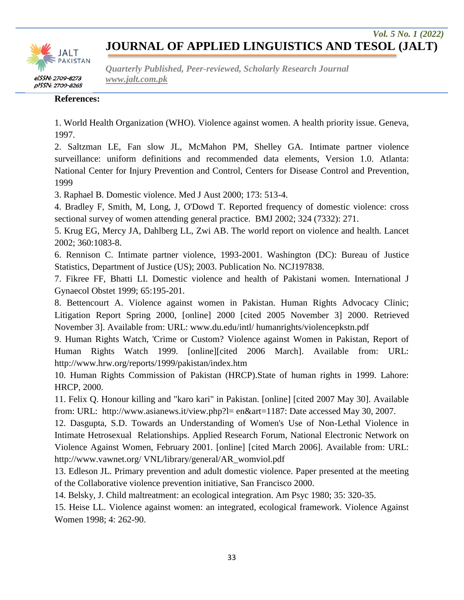

*Quarterly Published, Peer-reviewed, Scholarly Research Journal www.jalt.com.pk*

#### **References:**

1. World Health Organization (WHO). Violence against women. A health priority issue. Geneva, 1997.

2. Saltzman LE, Fan slow JL, McMahon PM, Shelley GA. Intimate partner violence surveillance: uniform definitions and recommended data elements, Version 1.0. Atlanta: National Center for Injury Prevention and Control, Centers for Disease Control and Prevention, 1999

3. Raphael B. Domestic violence. Med J Aust 2000; 173: 513-4.

4. Bradley F, Smith, M, Long, J, O'Dowd T. Reported frequency of domestic violence: cross sectional survey of women attending general practice. BMJ 2002; 324 (7332): 271.

5. Krug EG, Mercy JA, Dahlberg LL, Zwi AB. The world report on violence and health. Lancet 2002; 360:1083-8.

6. Rennison C. Intimate partner violence, 1993-2001. Washington (DC): Bureau of Justice Statistics, Department of Justice (US); 2003. Publication No. NCJ197838.

7. Fikree FF, Bhatti LI. Domestic violence and health of Pakistani women. International J Gynaecol Obstet 1999; 65:195-201.

8. Bettencourt A. Violence against women in Pakistan. Human Rights Advocacy Clinic; Litigation Report Spring 2000, [online] 2000 [cited 2005 November 3] 2000. Retrieved November 3]. Available from: URL: www.du.edu/intl/ humanrights/violencepkstn.pdf

9. Human Rights Watch, 'Crime or Custom? Violence against Women in Pakistan, Report of Human Rights Watch 1999. [online][cited 2006 March]. Available from: URL: http://www.hrw.org/reports/1999/pakistan/index.htm

10. Human Rights Commission of Pakistan (HRCP).State of human rights in 1999. Lahore: HRCP, 2000.

11. Felix Q. Honour killing and "karo kari" in Pakistan. [online] [cited 2007 May 30]. Available from: URL: http://www.asianews.it/view.php?l= en&art=1187: Date accessed May 30, 2007.

12. Dasgupta, S.D. Towards an Understanding of Women's Use of Non-Lethal Violence in Intimate Hetrosexual Relationships. Applied Research Forum, National Electronic Network on Violence Against Women, February 2001. [online] [cited March 2006]. Available from: URL: http://www.vawnet.org/ VNL/library/general/AR\_womviol.pdf

13. Edleson JL. Primary prevention and adult domestic violence. Paper presented at the meeting of the Collaborative violence prevention initiative, San Francisco 2000.

14. Belsky, J. Child maltreatment: an ecological integration. Am Psyc 1980; 35: 320-35.

15. Heise LL. Violence against women: an integrated, ecological framework. Violence Against Women 1998; 4: 262-90.